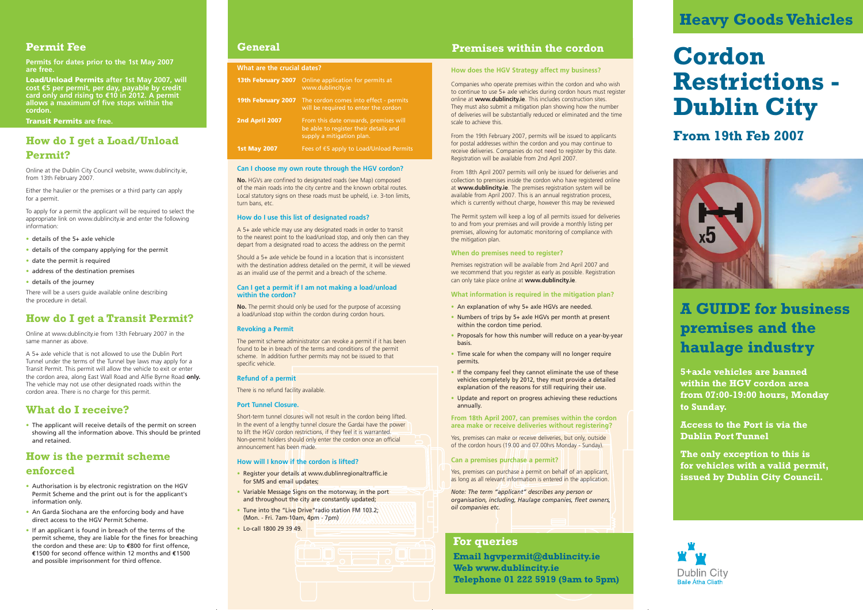**5+axle vehicles are banned within the HGV cordon area from 07:00-19:00 hours, Monday to Sunday.**

**Access to the Port is via the Dublin Port Tunnel**

**The only exception to this is for vehicles with a valid permit, issued by Dublin City Council.**



# **How do I get a Load/Unload Permit?**

Online at the Dublin City Council website, www.dublincity.ie, from 13th February 2007.

Either the haulier or the premises or a third party can apply for a permit.

To apply for a permit the applicant will be required to select the appropriate link on www.dublincity.ie and enter the following information:

- details of the 5+ axle vehicle
- details of the company applying for the permit
- date the permit is required
- address of the destination premises
- details of the journey

There will be a users guide available online describing the procedure in detail.

# **How do I get a Transit Permit?**

Online at www.dublincity.ie from 13th February 2007 in the same manner as above.

A 5+ axle vehicle that is not allowed to use the Dublin Port Tunnel under the terms of the Tunnel bye laws may apply for a Transit Permit. This permit will allow the vehicle to exit or enter the cordon area, along East Wall Road and Alfie Byrne Road **only.** The vehicle may not use other designated roads within the cordon area. There is no charge for this permit.

### **What do I receive?**

• The applicant will receive details of the permit on screen showing all the information above. This should be printed and retained.

# **How is the permit scheme enforced**

- Authorisation is by electronic registration on the HGV Permit Scheme and the print out is for the applicant's information only.
- An Garda Siochana are the enforcing body and have direct access to the HGV Permit Scheme.
- If an applicant is found in breach of the terms of the permit scheme, they are liable for the fines for breaching the cordon and these are: Up to **€**800 for first offence, **€**1500 for second offence within 12 months and **€**1500 and possible imprisonment for third offence.

## **Permit Fee**

**Permits for dates prior to the 1st May 2007 are free.**

**Load/Unload Permits after 1st May 2007, will cost €5 per permit, per day, payable by credit card only and rising to €10 in 2012. A permit allows a maximum of five stops within the cordon.** 

- An explanation of why 5+ axle HGVs are needed.
- Numbers of trips by 5+ axle HGVs per month at present within the cordon time period.
- Proposals for how this number will reduce on a year-by-year basis.
- Time scale for when the company will no longer require permits.
- If the company feel they cannot eliminate the use of these vehicles completely by 2012, they must provide a detailed explanation of the reasons for still requiring their use.
- Update and report on progress achieving these reductions annually.

**Transit Permits are free.**

# **Cordon Restrictions - Dublin City**

# **A GUIDE for business premises and the haulage industry**

#### **How does the HGV Strategy affect my business?**

Companies who operate premises within the cordon and who wish to continue to use 5+ axle vehicles during cordon hours must register online at **www.dublincity.ie**. This includes construction sites. They must also submit a mitigation plan showing how the number of deliveries will be substantially reduced or eliminated and the time scale to achieve this.

**No.** HGVs are confined to designated roads (see Map) composed of the main roads into the city centre and the known orbital routes. Local statutory signs on these roads must be upheld, i.e. 3-ton limits, turn bans, etc.

From the 19th February 2007, permits will be issued to applicants for postal addresses within the cordon and you may continue to receive deliveries. Companies do not need to register by this date. Registration will be available from 2nd April 2007.

From 18th April 2007 permits will only be issued for deliveries and collection to premises inside the cordon who have registered online at **www.dublincity.ie**. The premises registration system will be available from April 2007. This is an annual registration process, which is currently without charge, however this may be reviewed

The Permit system will keep a log of all permits issued for deliveries to and from your premises and will provide a monthly listing per premises, allowing for automatic monitoring of compliance with the mitigation plan.

#### **When do premises need to register?**

Premises registration will be available from 2nd April 2007 and we recommend that you register as early as possible. Registration can only take place online at **www.dublincity.ie**.

**What information is required in the mitigation plan?**

**From 18th April 2007, can premises within the cordon area make or receive deliveries without registering?**

Yes, premises can make or receive deliveries, but only, outside of the cordon hours (19.00 and 07.00hrs Monday - Sunday).

#### **Can a premises purchase a permit?**

Yes, premises can purchase a permit on behalf of an applicant, as long as all relevant information is entered in the application.

*Note: The term "applicant" describes any person or organisation, including, Haulage companies, fleet owners, oil companies etc.* 

### **General**

#### **What are the crucial dates?**

| 13th February 2007  | Online application for permits at<br>www.dublincity.ie                                                      |
|---------------------|-------------------------------------------------------------------------------------------------------------|
| 19th February 2007  | The cordon comes into effect - permits<br>will be required to enter the cordon                              |
| 2nd April 2007      | From this date onwards, premises will<br>be able to register their details and<br>supply a mitigation plan. |
| <b>1st May 2007</b> | Fees of $\epsilon$ 5 apply to Load/Unload Permits                                                           |

#### **Can I choose my own route through the HGV cordon?**

#### **How do I use this list of designated roads?**

A 5+ axle vehicle may use any designated roads in order to transit to the nearest point to the load/unload stop, and only then can they depart from a designated road to access the address on the permit

Should a 5+ axle vehicle be found in a location that is inconsistent with the destination address detailed on the permit, it will be viewed as an invalid use of the permit and a breach of the scheme.

#### **Can I get a permit if I am not making a load/unload within the cordon?**

**No.** The permit should only be used for the purpose of accessing a load/unload stop within the cordon during cordon hours.

#### **Revoking a Permit**

The permit scheme administrator can revoke a permit if it has been found to be in breach of the terms and conditions of the permit scheme. In addition further permits may not be issued to that specific vehicle.

#### **Refund of a permit**

There is no refund facility available.

#### **Port Tunnel Closure.**

Short-term tunnel closures will not result in the cordon being lifted. In the event of a lengthy tunnel closure the Gardai have the power to lift the HGV cordon restrictions, if they feel it is warranted. Non-permit holders should only enter the cordon once an official announcement has been made.

#### **How will I know if the cordon is lifted?**

- Register your details at www.dublinregionaltraffic.ie for SMS and email updates;
- Variable Message Signs on the motorway, in the port and throughout the city are constantly updated;
- Tune into the "Live Drive" radio station FM 103.2; (Mon. - Fri. 7am-10am, 4pm - 7pm)
- Lo-call 1800 29 39 49.

**Email hgvpermit@dublincity.ie Web www.dublincity.ie Telephone 01 222 5919 (9am to 5pm)**

### **For queries**

# **Heavy Goods Vehicles**

### **Premises within the cordon**

# **From 19th Feb 2007**